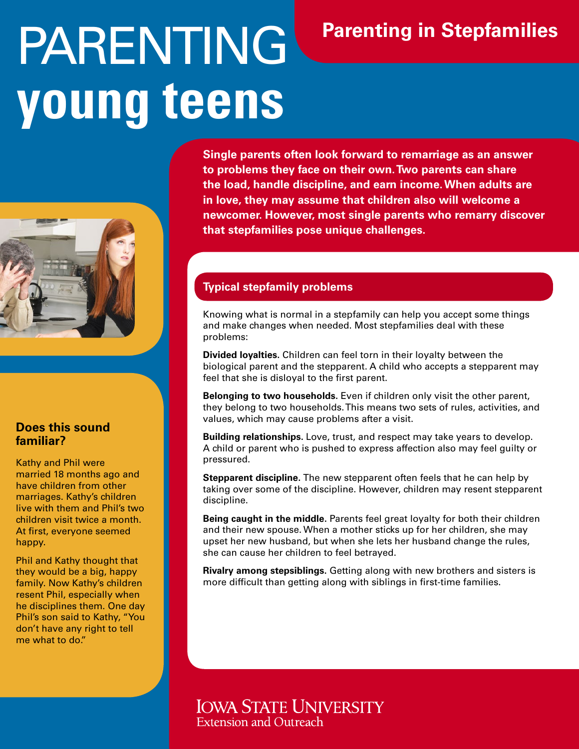# PARENTING **young teens**



#### **Does this sound familiar?**

Kathy and Phil were married 18 months ago and have children from other marriages. Kathy's children live with them and Phil's two children visit twice a month. At first, everyone seemed happy.

Phil and Kathy thought that they would be a big, happy family. Now Kathy's children resent Phil, especially when he disciplines them. One day Phil's son said to Kathy, "You don't have any right to tell me what to do."

**Single parents often look forward to remarriage as an answer to problems they face on their own. Two parents can share the load, handle discipline, and earn income. When adults are in love, they may assume that children also will welcome a newcomer. However, most single parents who remarry discover that stepfamilies pose unique challenges.**

**Parenting in Stepfamilies**

## **Typical stepfamily problems**

Knowing what is normal in a stepfamily can help you accept some things and make changes when needed. Most stepfamilies deal with these problems:

**Divided loyalties.** Children can feel torn in their loyalty between the biological parent and the stepparent. A child who accepts a stepparent may feel that she is disloyal to the first parent.

**Belonging to two households.** Even if children only visit the other parent, they belong to two households. This means two sets of rules, activities, and values, which may cause problems after a visit.

**Building relationships.** Love, trust, and respect may take years to develop. A child or parent who is pushed to express affection also may feel guilty or pressured.

**Stepparent discipline.** The new stepparent often feels that he can help by taking over some of the discipline. However, children may resent stepparent discipline.

**Being caught in the middle.** Parents feel great loyalty for both their children and their new spouse. When a mother sticks up for her children, she may upset her new husband, but when she lets her husband change the rules, she can cause her children to feel betrayed.

**Rivalry among stepsiblings.** Getting along with new brothers and sisters is more difficult than getting along with siblings in first-time families.

**IOWA STATE UNIVERSITY Extension and Outreacl**